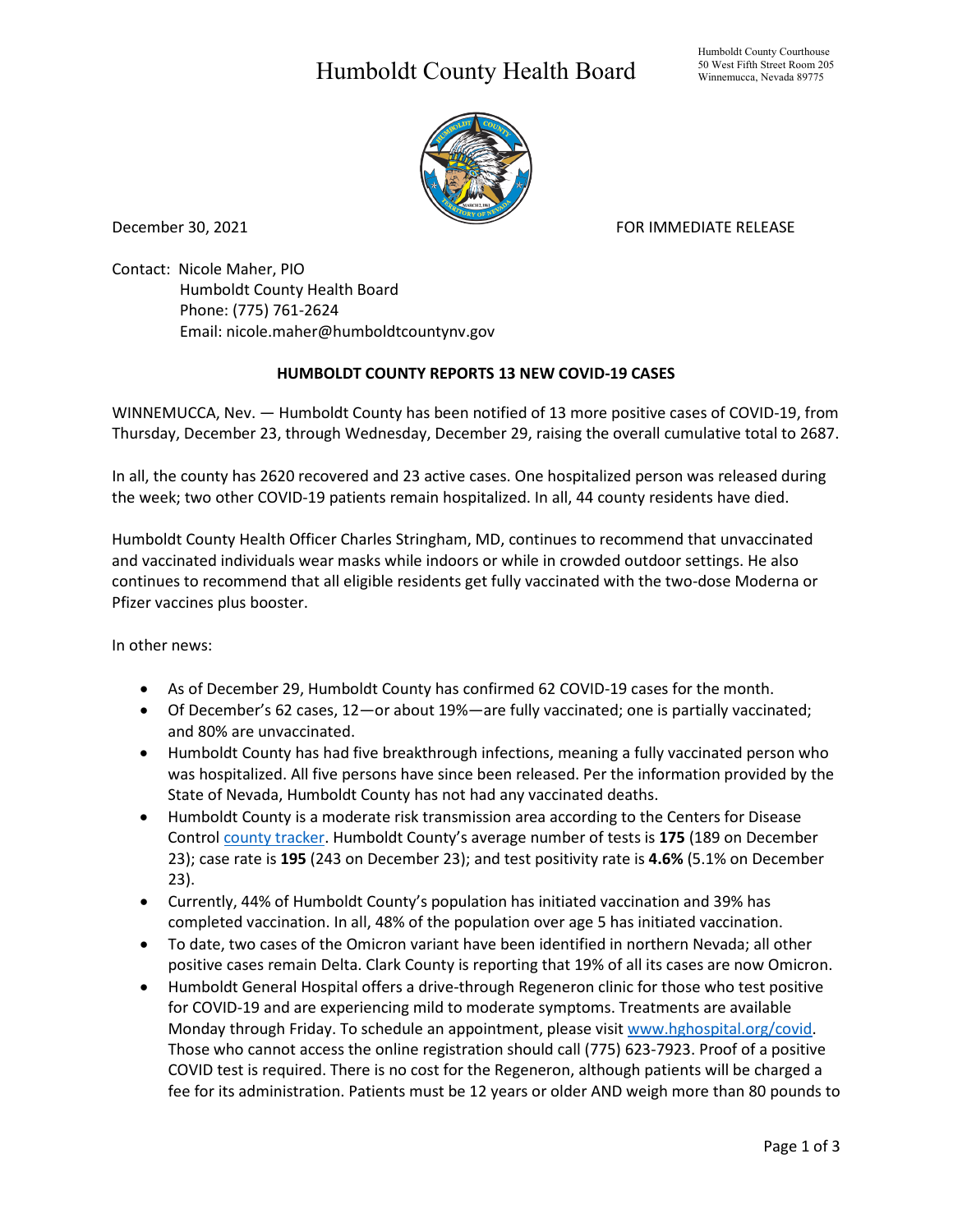## Humboldt County Health Board



December 30, 2021 **FOR IMMEDIATE RELEASE** 

Contact: Nicole Maher, PIO Humboldt County Health Board Phone: (775) 761-2624 Email: nicole.maher@humboldtcountynv.gov

## **HUMBOLDT COUNTY REPORTS 13 NEW COVID-19 CASES**

WINNEMUCCA, Nev. — Humboldt County has been notified of 13 more positive cases of COVID-19, from Thursday, December 23, through Wednesday, December 29, raising the overall cumulative total to 2687.

In all, the county has 2620 recovered and 23 active cases. One hospitalized person was released during the week; two other COVID-19 patients remain hospitalized. In all, 44 county residents have died.

Humboldt County Health Officer Charles Stringham, MD, continues to recommend that unvaccinated and vaccinated individuals wear masks while indoors or while in crowded outdoor settings. He also continues to recommend that all eligible residents get fully vaccinated with the two-dose Moderna or Pfizer vaccines plus booster.

In other news:

- As of December 29, Humboldt County has confirmed 62 COVID-19 cases for the month.
- Of December's 62 cases, 12—or about 19%—are fully vaccinated; one is partially vaccinated; and 80% are unvaccinated.
- Humboldt County has had five breakthrough infections, meaning a fully vaccinated person who was hospitalized. All five persons have since been released. Per the information provided by the State of Nevada, Humboldt County has not had any vaccinated deaths.
- Humboldt County is a moderate risk transmission area according to the Centers for Disease Control *county tracker*. Humboldt County's average number of tests is 175 (189 on December 23); case rate is **195** (243 on December 23); and test positivity rate is **4.6%** (5.1% on December 23).
- Currently, 44% of Humboldt County's population has initiated vaccination and 39% has completed vaccination. In all, 48% of the population over age 5 has initiated vaccination.
- To date, two cases of the Omicron variant have been identified in northern Nevada; all other positive cases remain Delta. Clark County is reporting that 19% of all its cases are now Omicron.
- Humboldt General Hospital offers a drive-through Regeneron clinic for those who test positive for COVID-19 and are experiencing mild to moderate symptoms. Treatments are available Monday through Friday. To schedule an appointment, please visit www.hghospital.org/covid. Those who cannot access the online registration should call (775) 623-7923. Proof of a positive COVID test is required. There is no cost for the Regeneron, although patients will be charged a fee for its administration. Patients must be 12 years or older AND weigh more than 80 pounds to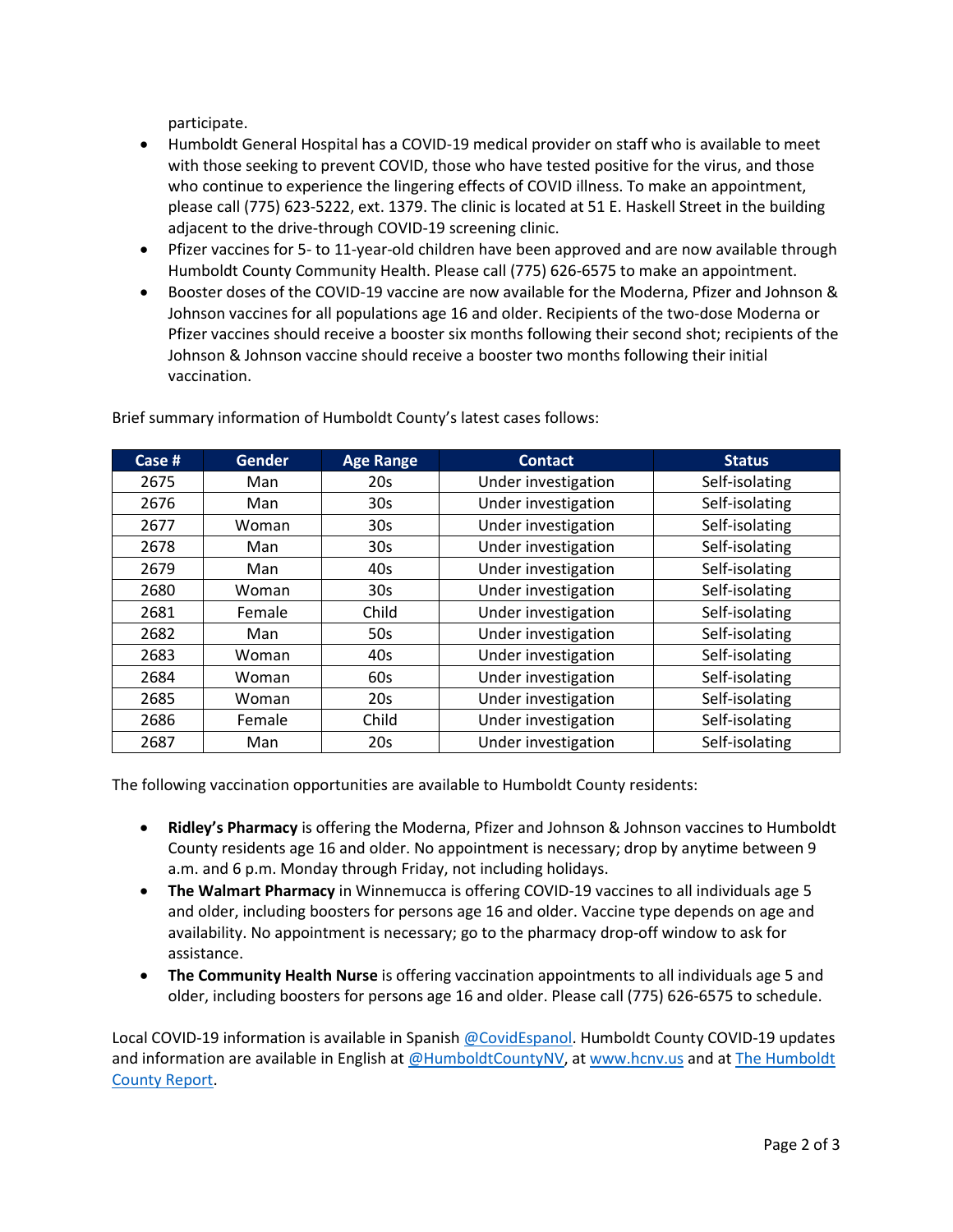participate.

- Humboldt General Hospital has a COVID-19 medical provider on staff who is available to meet with those seeking to prevent COVID, those who have tested positive for the virus, and those who continue to experience the lingering effects of COVID illness. To make an appointment, please call (775) 623-5222, ext. 1379. The clinic is located at 51 E. Haskell Street in the building adjacent to the drive-through COVID-19 screening clinic.
- Pfizer vaccines for 5- to 11-year-old children have been approved and are now available through Humboldt County Community Health. Please call (775) 626-6575 to make an appointment.
- Booster doses of the COVID-19 vaccine are now available for the Moderna, Pfizer and Johnson & Johnson vaccines for all populations age 16 and older. Recipients of the two-dose Moderna or Pfizer vaccines should receive a booster six months following their second shot; recipients of the Johnson & Johnson vaccine should receive a booster two months following their initial vaccination.

| Case # | <b>Gender</b> | <b>Age Range</b> | <b>Contact</b>      | <b>Status</b>  |
|--------|---------------|------------------|---------------------|----------------|
| 2675   | Man           | 20s              | Under investigation | Self-isolating |
| 2676   | Man           | 30 <sub>s</sub>  | Under investigation | Self-isolating |
| 2677   | Woman         | 30 <sub>s</sub>  | Under investigation | Self-isolating |
| 2678   | Man           | 30 <sub>s</sub>  | Under investigation | Self-isolating |
| 2679   | Man           | 40s              | Under investigation | Self-isolating |
| 2680   | Woman         | 30 <sub>s</sub>  | Under investigation | Self-isolating |
| 2681   | Female        | Child            | Under investigation | Self-isolating |
| 2682   | Man           | 50s              | Under investigation | Self-isolating |
| 2683   | Woman         | 40s              | Under investigation | Self-isolating |
| 2684   | Woman         | 60s              | Under investigation | Self-isolating |
| 2685   | Woman         | 20s              | Under investigation | Self-isolating |
| 2686   | Female        | Child            | Under investigation | Self-isolating |
| 2687   | Man           | 20s              | Under investigation | Self-isolating |

Brief summary information of Humboldt County's latest cases follows:

The following vaccination opportunities are available to Humboldt County residents:

- **Ridley's Pharmacy** is offering the Moderna, Pfizer and Johnson & Johnson vaccines to Humboldt County residents age 16 and older. No appointment is necessary; drop by anytime between 9 a.m. and 6 p.m. Monday through Friday, not including holidays.
- **The Walmart Pharmacy** in Winnemucca is offering COVID-19 vaccines to all individuals age 5 and older, including boosters for persons age 16 and older. Vaccine type depends on age and availability. No appointment is necessary; go to the pharmacy drop-off window to ask for assistance.
- **The Community Health Nurse** is offering vaccination appointments to all individuals age 5 and older, including boosters for persons age 16 and older. Please call (775) 626-6575 to schedule.

Local COVID-19 information is available in Spanish [@CovidEspanol.](https://www.facebook.com/CovidEspanol) Humboldt County COVID-19 updates and information are available in English at [@HumboldtCountyNV,](https://www.facebook.com/humboldtcountynv) at [www.hcnv.us](http://www.hcnv.us/) and at The Humboldt [County Report.](https://spark.adobe.com/page/llU1h2xbgNKeR/)